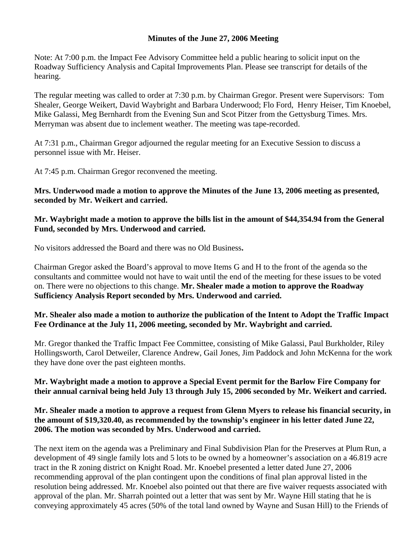## **Minutes of the June 27, 2006 Meeting**

Note: At 7:00 p.m. the Impact Fee Advisory Committee held a public hearing to solicit input on the Roadway Sufficiency Analysis and Capital Improvements Plan. Please see transcript for details of the hearing.

The regular meeting was called to order at 7:30 p.m. by Chairman Gregor. Present were Supervisors: Tom Shealer, George Weikert, David Waybright and Barbara Underwood; Flo Ford, Henry Heiser, Tim Knoebel, Mike Galassi, Meg Bernhardt from the Evening Sun and Scot Pitzer from the Gettysburg Times. Mrs. Merryman was absent due to inclement weather. The meeting was tape-recorded.

At 7:31 p.m., Chairman Gregor adjourned the regular meeting for an Executive Session to discuss a personnel issue with Mr. Heiser.

At 7:45 p.m. Chairman Gregor reconvened the meeting.

**Mrs. Underwood made a motion to approve the Minutes of the June 13, 2006 meeting as presented, seconded by Mr. Weikert and carried.** 

**Mr. Waybright made a motion to approve the bills list in the amount of \$44,354.94 from the General Fund, seconded by Mrs. Underwood and carried.** 

No visitors addressed the Board and there was no Old Business**.** 

Chairman Gregor asked the Board's approval to move Items G and H to the front of the agenda so the consultants and committee would not have to wait until the end of the meeting for these issues to be voted on. There were no objections to this change. **Mr. Shealer made a motion to approve the Roadway Sufficiency Analysis Report seconded by Mrs. Underwood and carried.**

## **Mr. Shealer also made a motion to authorize the publication of the Intent to Adopt the Traffic Impact Fee Ordinance at the July 11, 2006 meeting, seconded by Mr. Waybright and carried.**

Mr. Gregor thanked the Traffic Impact Fee Committee, consisting of Mike Galassi, Paul Burkholder, Riley Hollingsworth, Carol Detweiler, Clarence Andrew, Gail Jones, Jim Paddock and John McKenna for the work they have done over the past eighteen months.

## **Mr. Waybright made a motion to approve a Special Event permit for the Barlow Fire Company for their annual carnival being held July 13 through July 15, 2006 seconded by Mr. Weikert and carried.**

## **Mr. Shealer made a motion to approve a request from Glenn Myers to release his financial security, in the amount of \$19,320.40, as recommended by the township's engineer in his letter dated June 22, 2006. The motion was seconded by Mrs. Underwood and carried.**

The next item on the agenda was a Preliminary and Final Subdivision Plan for the Preserves at Plum Run, a development of 49 single family lots and 5 lots to be owned by a homeowner's association on a 46.819 acre tract in the R zoning district on Knight Road. Mr. Knoebel presented a letter dated June 27, 2006 recommending approval of the plan contingent upon the conditions of final plan approval listed in the resolution being addressed. Mr. Knoebel also pointed out that there are five waiver requests associated with approval of the plan. Mr. Sharrah pointed out a letter that was sent by Mr. Wayne Hill stating that he is conveying approximately 45 acres (50% of the total land owned by Wayne and Susan Hill) to the Friends of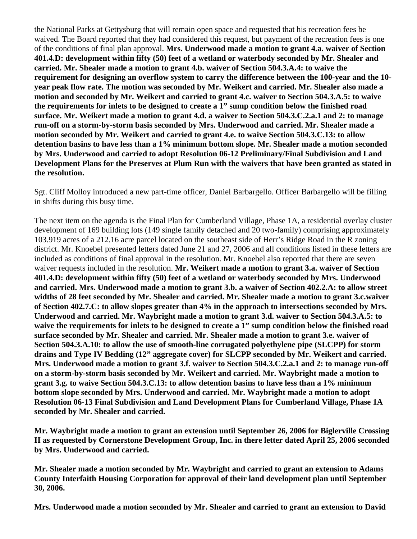the National Parks at Gettysburg that will remain open space and requested that his recreation fees be waived. The Board reported that they had considered this request, but payment of the recreation fees is one of the conditions of final plan approval. **Mrs. Underwood made a motion to grant 4.a. waiver of Section 401.4.D: development within fifty (50) feet of a wetland or waterbody seconded by Mr. Shealer and carried. Mr. Shealer made a motion to grant 4.b. waiver of Section 504.3.A.4: to waive the requirement for designing an overflow system to carry the difference between the 100-year and the 10 year peak flow rate. The motion was seconded by Mr. Weikert and carried. Mr. Shealer also made a motion and seconded by Mr. Weikert and carried to grant 4.c. waiver to Section 504.3.A.5: to waive the requirements for inlets to be designed to create a 1" sump condition below the finished road surface. Mr. Weikert made a motion to grant 4.d. a waiver to Section 504.3.C.2.a.1 and 2: to manage run-off on a storm-by-storm basis seconded by Mrs. Underwood and carried. Mr. Shealer made a motion seconded by Mr. Weikert and carried to grant 4.e. to waive Section 504.3.C.13: to allow detention basins to have less than a 1% minimum bottom slope. Mr. Shealer made a motion seconded by Mrs. Underwood and carried to adopt Resolution 06-12 Preliminary/Final Subdivision and Land Development Plans for the Preserves at Plum Run with the waivers that have been granted as stated in the resolution.** 

Sgt. Cliff Molloy introduced a new part-time officer, Daniel Barbargello. Officer Barbargello will be filling in shifts during this busy time.

The next item on the agenda is the Final Plan for Cumberland Village, Phase 1A, a residential overlay cluster development of 169 building lots (149 single family detached and 20 two-family) comprising approximately 103.919 acres of a 212.16 acre parcel located on the southeast side of Herr's Ridge Road in the R zoning district. Mr. Knoebel presented letters dated June 21 and 27, 2006 and all conditions listed in these letters are included as conditions of final approval in the resolution. Mr. Knoebel also reported that there are seven waiver requests included in the resolution. **Mr. Weikert made a motion to grant 3.a. waiver of Section 401.4.D: development within fifty (50) feet of a wetland or waterbody seconded by Mrs. Underwood and carried. Mrs. Underwood made a motion to grant 3.b. a waiver of Section 402.2.A: to allow street widths of 28 feet seconded by Mr. Shealer and carried. Mr. Shealer made a motion to grant 3.c.waiver of Section 402.7.C: to allow slopes greater than 4% in the approach to intersections seconded by Mrs. Underwood and carried. Mr. Waybright made a motion to grant 3.d. waiver to Section 504.3.A.5: to waive the requirements for inlets to be designed to create a 1" sump condition below the finished road surface seconded by Mr. Shealer and carried. Mr. Shealer made a motion to grant 3.e. waiver of Section 504.3.A.10: to allow the use of smooth-line corrugated polyethylene pipe (SLCPP) for storm drains and Type IV Bedding (12" aggregate cover) for SLCPP seconded by Mr. Weikert and carried. Mrs. Underwood made a motion to grant 3.f. waiver to Section 504.3.C.2.a.1 and 2: to manage run-off on a storm-by-storm basis seconded by Mr. Weikert and carried. Mr. Waybright made a motion to grant 3.g. to waive Section 504.3.C.13: to allow detention basins to have less than a 1% minimum bottom slope seconded by Mrs. Underwood and carried. Mr. Waybright made a motion to adopt Resolution 06-13 Final Subdivision and Land Development Plans for Cumberland Village, Phase 1A seconded by Mr. Shealer and carried.** 

**Mr. Waybright made a motion to grant an extension until September 26, 2006 for Biglerville Crossing II as requested by Cornerstone Development Group, Inc. in there letter dated April 25, 2006 seconded by Mrs. Underwood and carried.** 

**Mr. Shealer made a motion seconded by Mr. Waybright and carried to grant an extension to Adams County Interfaith Housing Corporation for approval of their land development plan until September 30, 2006.** 

**Mrs. Underwood made a motion seconded by Mr. Shealer and carried to grant an extension to David**